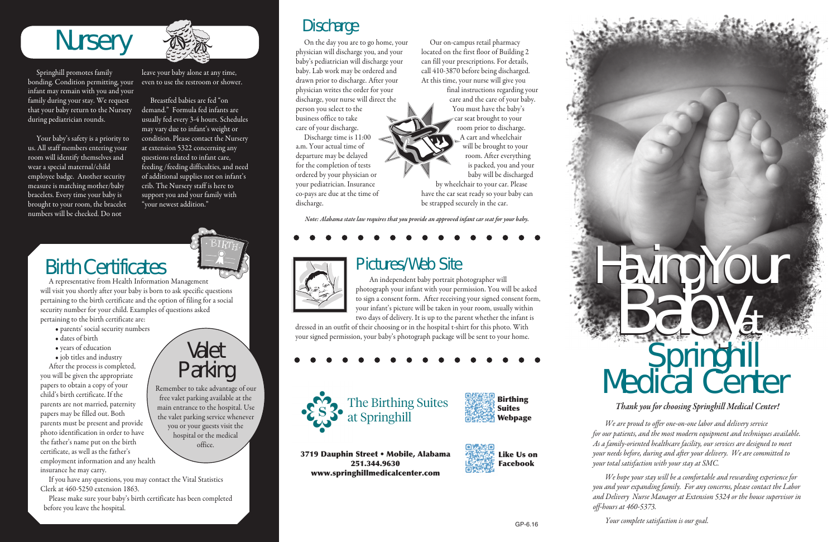*Thank you for choosing Springhill Medical Center!* 

*We are proud to offer one-on-one labor and delivery service for our patients, and the most modern equipment and techniques available. As a family-oriented healthcare facility, our services are designed to meet your needs before, during and after your delivery. We are committed to your total satisfaction with your stay at SMC.*

*We hope your stay will be a comfortable and rewarding experience for you and your expanding family. For any concerns, please contact the Labor and Delivery Nurse Manager at Extension 5324 or the house supervisor in off-hours at 460-5373.*

*Your complete satisfaction is our goal.*

# **Nursery**

Springhill promotes family bonding. Condition permitting, your infant may remain with you and your family during your stay. We request that your baby return to the Nursery during pediatrician rounds.

Your baby's safety is a priority to us. All staff members entering your room will identify themselves and wear a special maternal/child employee badge. Another security measure is matching mother/baby bracelets. Every time your baby is brought to your room, the bracelet numbers will be checked. Do not



leave your baby alone at any time, even to use the restroom or shower.

Breastfed babies are fed "on demand." Formula fed infants are usually fed every 3-4 hours. Schedules may vary due to infant's weight or condition. Please contact the Nursery at extension 5322 concerning any questions related to infant care, feeding /feeding difficulties, and need of additional supplies not on infant's crib. The Nursery staff is here to support you and your family with "your newest addition."

# Birth Certificates

A representative from Health Information Management will visit you shortly after your baby is born to ask specific questions pertaining to the birth certificate and the option of filing for a social security number for your child. Examples of questions asked pertaining to the birth certificate are:

- parents' social security numbers
- dates of birth
- years of education
- job titles and industry

After the process is completed, you will be given the appropriate papers to obtain a copy of your child's birth certificate. If the parents are not married, paternity papers may be filled out. Both parents must be present and provide photo identification in order to have the father's name put on the birth certificate, as well as the father's employment information and any health insurance he may carry.

If you have any questions, you may contact the Vital Statistics Clerk at 460-5250 extension 1863.

Please make sure your baby's birth certificate has been completed before you leave the hospital.

## Valet Parking

Remember to take advantage of our free valet parking available at the main entrance to the hospital. Use the valet parking service whenever you or your guests visit the hospital or the medical office.

*Note: Alabama state law requires that you provide an approved infant car seat for your baby.*

# Pictures/Web Site



An independent baby portrait photographer will photograph your infant with your permission. You will be asked to sign a consent form. After receiving your signed consent form, your infant's picture will be taken in your room, usually within

two days of delivery. It is up to the parent whether the infant is dressed in an outfit of their choosing or in the hospital t-shirt for this photo. With your signed permission, your baby's photograph package will be sent to your home.





## Discharge

# Having Your<br>Babyat **Springhill** Medical Center

On the day you are to go home, your physician will discharge you, and your baby's pediatrician will discharge your baby. Lab work may be ordered and drawn prior to discharge. After your physician writes the order for your discharge, your nurse will direct the person you select to the business office to take care of your discharge.

Discharge time is 11:00 a.m. Your actual time of departure may be delayed for the completion of tests ordered by your physician or your pediatrician. Insurance co-pays are due at the time of discharge.

Our on-campus retail pharmacy located on the first floor of Building 2 can fill your prescriptions. For details, call 410-3870 before being discharged. At this time, your nurse will give you

> final instructions regarding your care and the care of your baby. You must have the baby's car seat brought to your room prior to discharge. A cart and wheelchair will be brought to your room. After everything is packed, you and your baby will be discharged by wheelchair to your car. Please

have the car seat ready so your baby can be strapped securely in the car.

The Birthing Suites at Springhill





3719 Dauphin Street • Mobile, Alabama 251.344.9630 www.springhillmedicalcenter.com